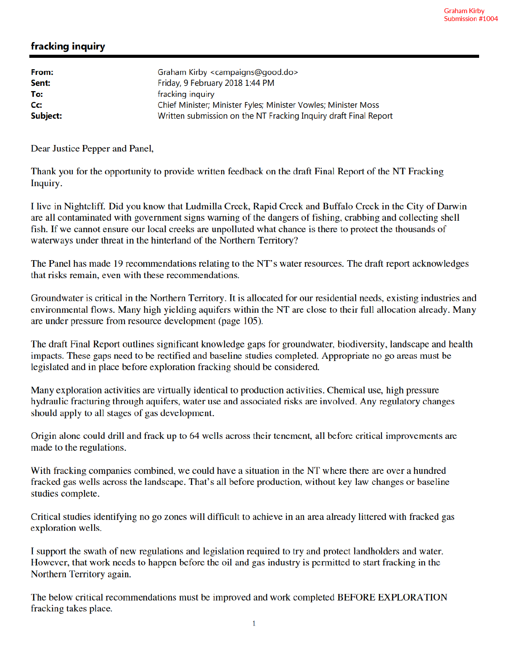## fracking inquiry

| From:<br>Sent:   | Graham Kirby <campaigns@good.do><br/>Friday, 9 February 2018 1:44 PM</campaigns@good.do> |
|------------------|------------------------------------------------------------------------------------------|
| To:              | fracking inquiry                                                                         |
| $C_{\mathbf{C}}$ | Chief Minister; Minister Fyles; Minister Vowles; Minister Moss                           |
| Subject:         | Written submission on the NT Fracking Inquiry draft Final Report                         |

Dear Justice Pepper and Panel,

Thank you for the opportunity to provide written feedback on the draft Final Report of the NT Fracking Inquiry.

I live in Nightcliff. Did you know that Ludmilla Creek, Rapid Creek and Buffalo Creek in the City of Darwin are all contaminated with government signs warning of the dangers of fishing, crabbing and collecting shell fish. If we cannot ensure our local creeks are unpolluted what chance is there to protect the thousands of waterways under threat in the hinterland of the Northern Territory?

The Panel has made 19 recommendations relating to the NT's water resources. The draft report acknowledges that risks remain, even with these recommendations.

Groundwater is critical in the Northern Territory. It is allocated for our residential needs, existing industries and environmental flows. Many high yielding aquifers within the NT are close to their full allocation already. Many are under pressure from resource development (page 105).

The draft Final Report outlines significant knowledge gaps for groundwater, biodiversity, landscape and health impacts. These gaps need to be rectified and baseline studies completed. Appropriate no go areas must be legislated and in place before exploration fracking should be considered.

Many exploration activities are virtually identical to production activities. Chemical use, high pressure hydraulic fracturing through aquifers, water use and associated risks are involved. Any regulatory changes should apply to all stages of gas development.

Origin alone could drill and frack up to 64 wells across their tenement, all before critical improvements are made to the regulations.

With fracking companies combined, we could have a situation in the NT where there are over a hundred fracked gas wells across the landscape. That's all before production, without key law changes or baseline studies complete.

Critical studies identifying no go zones will difficult to achieve in an area already littered with fracked gas exploration wells.

I support the swath of new regulations and legislation required to try and protect landholders and water. However, that work needs to happen before the oil and gas industry is permitted to start fracking in the Northern Territory again.

The below critical recommendations must be improved and work completed BEFORE EXPLORATION fracking takes place.